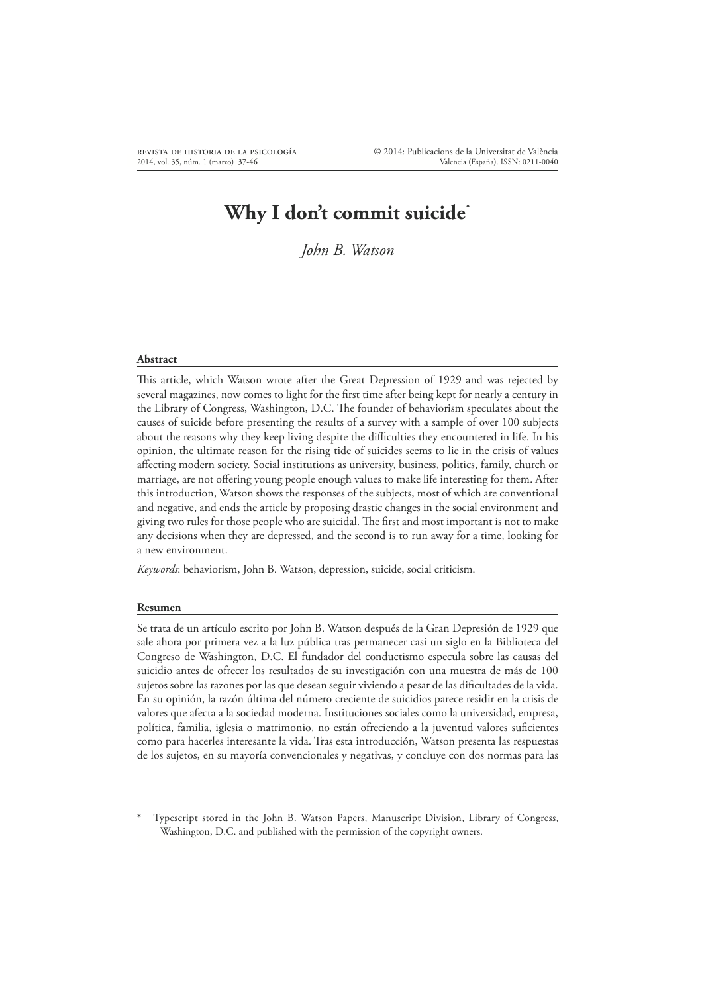# **Why I don't commit suicide\***

*John B. Watson*

#### **Abstract**

This article, which Watson wrote after the Great Depression of 1929 and was rejected by several magazines, now comes to light for the first time after being kept for nearly a century in the Library of Congress, Washington, D.C. The founder of behaviorism speculates about the causes of suicide before presenting the results of a survey with a sample of over 100 subjects about the reasons why they keep living despite the difficulties they encountered in life. In his opinion, the ultimate reason for the rising tide of suicides seems to lie in the crisis of values affecting modern society. Social institutions as university, business, politics, family, church or marriage, are not offering young people enough values to make life interesting for them. After this introduction, Watson shows the responses of the subjects, most of which are conventional and negative, and ends the article by proposing drastic changes in the social environment and giving two rules for those people who are suicidal. The first and most important is not to make any decisions when they are depressed, and the second is to run away for a time, looking for a new environment.

*Keywords*: behaviorism, John B. Watson, depression, suicide, social criticism.

#### **Resumen**

Se trata de un artículo escrito por John B. Watson después de la Gran Depresión de 1929 que sale ahora por primera vez a la luz pública tras permanecer casi un siglo en la Biblioteca del Congreso de Washington, D.C. El fundador del conductismo especula sobre las causas del suicidio antes de ofrecer los resultados de su investigación con una muestra de más de 100 sujetos sobre las razones por las que desean seguir viviendo a pesar de las dificultades de la vida. En su opinión, la razón última del número creciente de suicidios parece residir en la crisis de valores que afecta a la sociedad moderna. Instituciones sociales como la universidad, empresa, política, familia, iglesia o matrimonio, no están ofreciendo a la juventud valores suficientes como para hacerles interesante la vida. Tras esta introducción, Watson presenta las respuestas de los sujetos, en su mayoría convencionales y negativas, y concluye con dos normas para las

\* Typescript stored in the John B. Watson Papers, Manuscript Division, Library of Congress, Washington, D.C. and published with the permission of the copyright owners.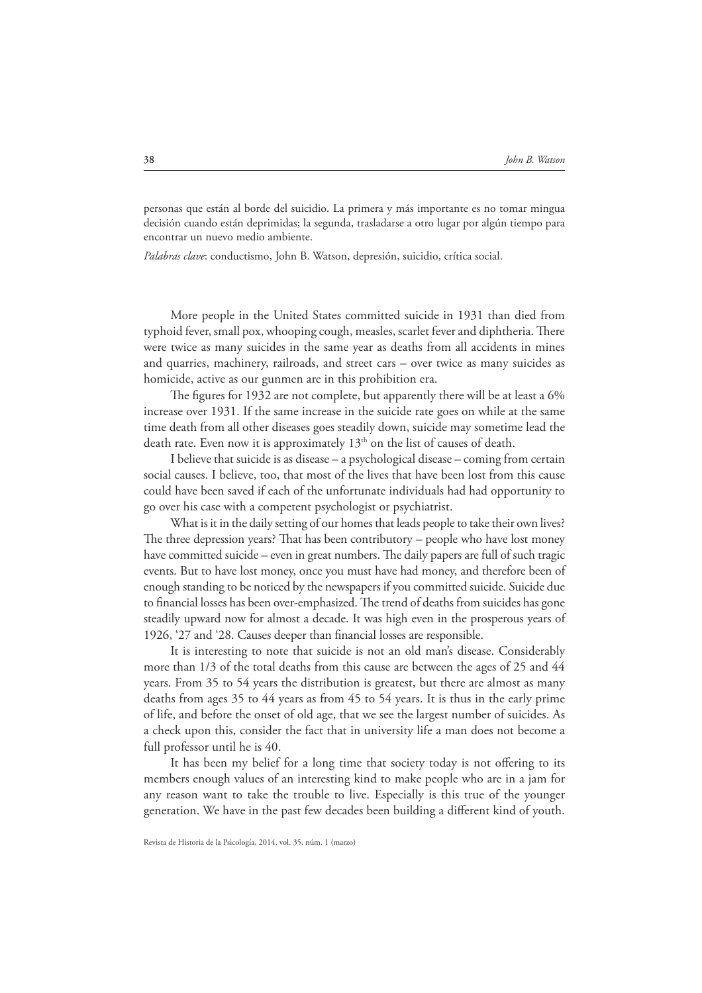personas que están al borde del suicidio. La primera y más importante es no tomar mingua decisión cuando están deprimidas; la segunda, trasladarse a otro lugar por algún tiempo para encontrar un nuevo medio ambiente.

*Palabras clave*: conductismo, John B. Watson, depresión, suicidio, crítica social.

More people in the United States committed suicide in 1931 than died from typhoid fever, small pox, whooping cough, measles, scarlet fever and diphtheria. There were twice as many suicides in the same year as deaths from all accidents in mines and quarries, machinery, railroads, and street cars – over twice as many suicides as homicide, active as our gunmen are in this prohibition era.

The figures for 1932 are not complete, but apparently there will be at least a 6% increase over 1931. If the same increase in the suicide rate goes on while at the same time death from all other diseases goes steadily down, suicide may sometime lead the death rate. Even now it is approximately  $13<sup>th</sup>$  on the list of causes of death.

I believe that suicide is as disease – a psychological disease – coming from certain social causes. I believe, too, that most of the lives that have been lost from this cause could have been saved if each of the unfortunate individuals had had opportunity to go over his case with a competent psychologist or psychiatrist.

What is it in the daily setting of our homes that leads people to take their own lives? The three depression years? That has been contributory – people who have lost money have committed suicide – even in great numbers. The daily papers are full of such tragic events. But to have lost money, once you must have had money, and therefore been of enough standing to be noticed by the newspapers if you committed suicide. Suicide due to financial losses has been over-emphasized. The trend of deaths from suicides has gone steadily upward now for almost a decade. It was high even in the prosperous years of 1926, '27 and '28. Causes deeper than financial losses are responsible.

It is interesting to note that suicide is not an old man's disease. Considerably more than 1/3 of the total deaths from this cause are between the ages of 25 and 44 years. From 35 to 54 years the distribution is greatest, but there are almost as many deaths from ages 35 to 44 years as from 45 to 54 years. It is thus in the early prime of life, and before the onset of old age, that we see the largest number of suicides. As a check upon this, consider the fact that in university life a man does not become a full professor until he is 40.

It has been my belief for a long time that society today is not offering to its members enough values of an interesting kind to make people who are in a jam for any reason want to take the trouble to live. Especially is this true of the younger generation. We have in the past few decades been building a different kind of youth.

Revista de Historia de la Psicología, 2014, vol. 35, núm. 1 (marzo)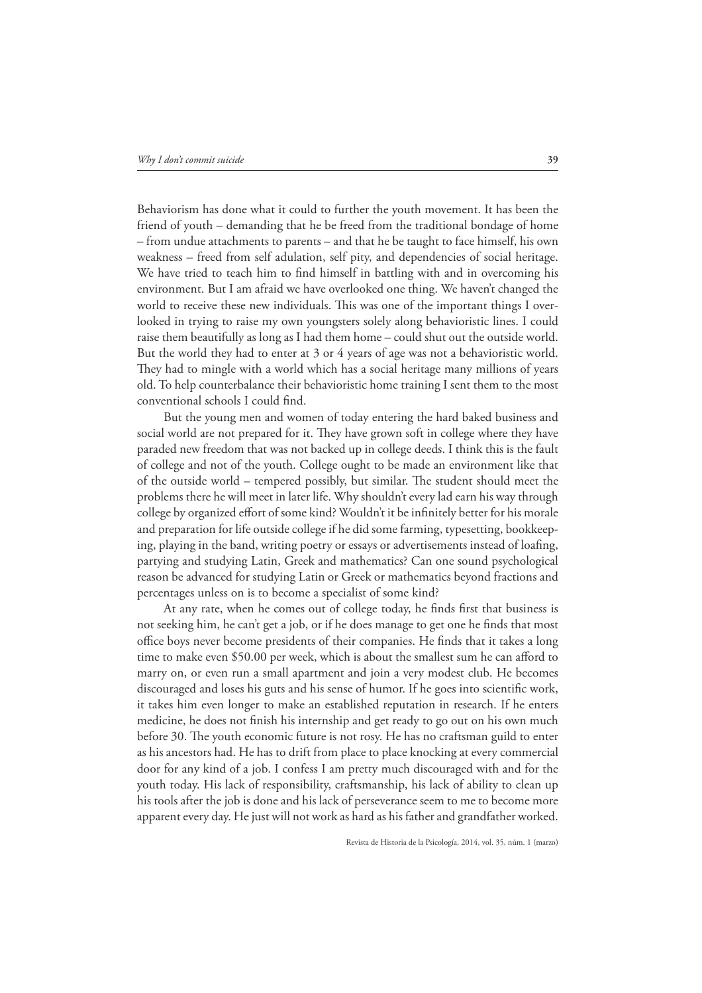Behaviorism has done what it could to further the youth movement. It has been the friend of youth – demanding that he be freed from the traditional bondage of home – from undue attachments to parents – and that he be taught to face himself, his own weakness – freed from self adulation, self pity, and dependencies of social heritage. We have tried to teach him to find himself in battling with and in overcoming his environment. But I am afraid we have overlooked one thing. We haven't changed the world to receive these new individuals. This was one of the important things I overlooked in trying to raise my own youngsters solely along behavioristic lines. I could raise them beautifully as long as I had them home – could shut out the outside world. But the world they had to enter at 3 or 4 years of age was not a behavioristic world. They had to mingle with a world which has a social heritage many millions of years old. To help counterbalance their behavioristic home training I sent them to the most conventional schools I could find.

But the young men and women of today entering the hard baked business and social world are not prepared for it. They have grown soft in college where they have paraded new freedom that was not backed up in college deeds. I think this is the fault of college and not of the youth. College ought to be made an environment like that of the outside world – tempered possibly, but similar. The student should meet the problems there he will meet in later life. Why shouldn't every lad earn his way through college by organized effort of some kind? Wouldn't it be infinitely better for his morale and preparation for life outside college if he did some farming, typesetting, bookkeeping, playing in the band, writing poetry or essays or advertisements instead of loafing, partying and studying Latin, Greek and mathematics? Can one sound psychological reason be advanced for studying Latin or Greek or mathematics beyond fractions and percentages unless on is to become a specialist of some kind?

At any rate, when he comes out of college today, he finds first that business is not seeking him, he can't get a job, or if he does manage to get one he finds that most office boys never become presidents of their companies. He finds that it takes a long time to make even \$50.00 per week, which is about the smallest sum he can afford to marry on, or even run a small apartment and join a very modest club. He becomes discouraged and loses his guts and his sense of humor. If he goes into scientific work, it takes him even longer to make an established reputation in research. If he enters medicine, he does not finish his internship and get ready to go out on his own much before 30. The youth economic future is not rosy. He has no craftsman guild to enter as his ancestors had. He has to drift from place to place knocking at every commercial door for any kind of a job. I confess I am pretty much discouraged with and for the youth today. His lack of responsibility, craftsmanship, his lack of ability to clean up his tools after the job is done and his lack of perseverance seem to me to become more apparent every day. He just will not work as hard as his father and grandfather worked.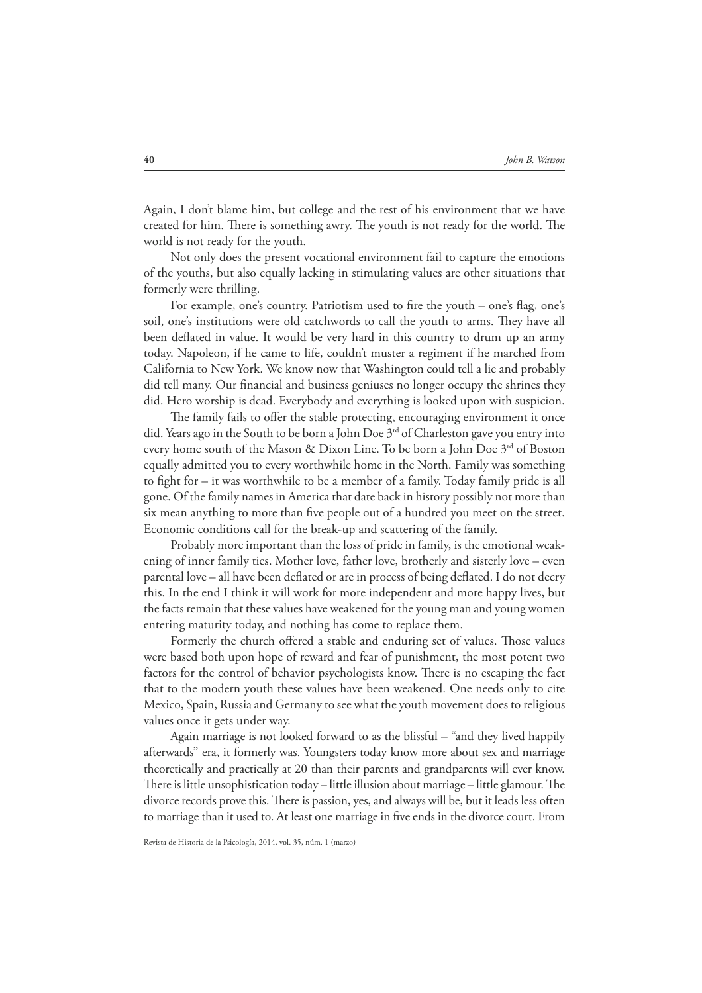Again, I don't blame him, but college and the rest of his environment that we have created for him. There is something awry. The youth is not ready for the world. The world is not ready for the youth.

Not only does the present vocational environment fail to capture the emotions of the youths, but also equally lacking in stimulating values are other situations that formerly were thrilling.

For example, one's country. Patriotism used to fire the youth – one's flag, one's soil, one's institutions were old catchwords to call the youth to arms. They have all been deflated in value. It would be very hard in this country to drum up an army today. Napoleon, if he came to life, couldn't muster a regiment if he marched from California to New York. We know now that Washington could tell a lie and probably did tell many. Our financial and business geniuses no longer occupy the shrines they did. Hero worship is dead. Everybody and everything is looked upon with suspicion.

The family fails to offer the stable protecting, encouraging environment it once did. Years ago in the South to be born a John Doe  $3<sup>rd</sup>$  of Charleston gave you entry into every home south of the Mason & Dixon Line. To be born a John Doe 3<sup>rd</sup> of Boston equally admitted you to every worthwhile home in the North. Family was something to #ght for – it was worthwhile to be a member of a family. Today family pride is all gone. Of the family names in America that date back in history possibly not more than six mean anything to more than five people out of a hundred you meet on the street. Economic conditions call for the break-up and scattering of the family.

Probably more important than the loss of pride in family, is the emotional weakening of inner family ties. Mother love, father love, brotherly and sisterly love – even parental love – all have been deflated or are in process of being deflated. I do not decry this. In the end I think it will work for more independent and more happy lives, but the facts remain that these values have weakened for the young man and young women entering maturity today, and nothing has come to replace them.

Formerly the church offered a stable and enduring set of values. Those values were based both upon hope of reward and fear of punishment, the most potent two factors for the control of behavior psychologists know. There is no escaping the fact that to the modern youth these values have been weakened. One needs only to cite Mexico, Spain, Russia and Germany to see what the youth movement does to religious values once it gets under way.

Again marriage is not looked forward to as the blissful – "and they lived happily afterwards" era, it formerly was. Youngsters today know more about sex and marriage theoretically and practically at 20 than their parents and grandparents will ever know. There is little unsophistication today – little illusion about marriage – little glamour. The divorce records prove this. There is passion, yes, and always will be, but it leads less often to marriage than it used to. At least one marriage in five ends in the divorce court. From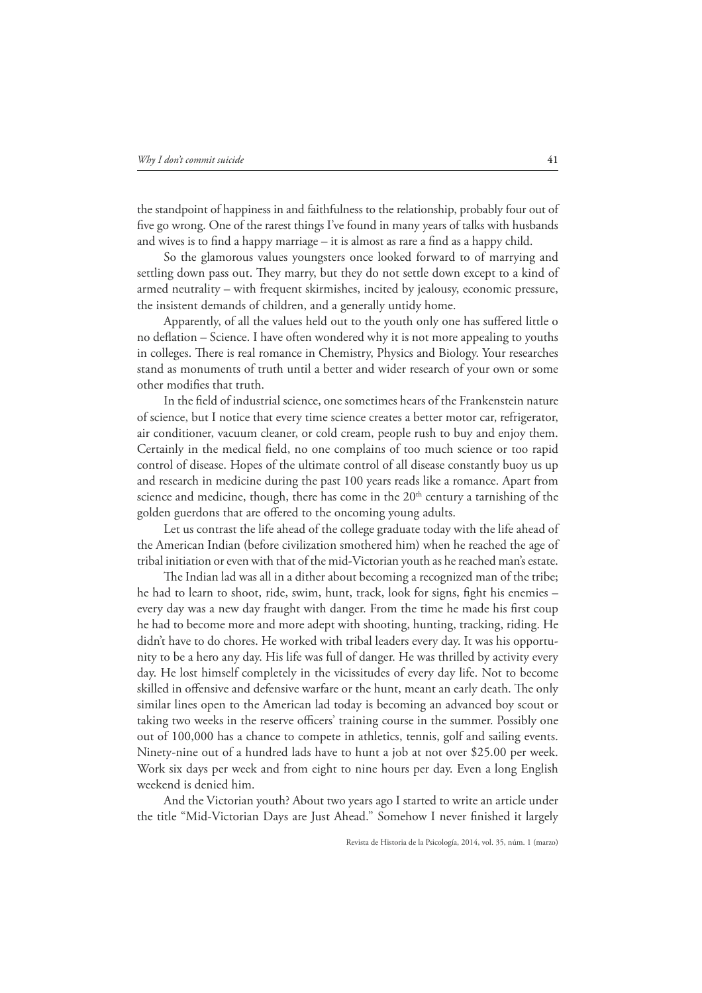the standpoint of happiness in and faithfulness to the relationship, probably four out of five go wrong. One of the rarest things I've found in many years of talks with husbands and wives is to find a happy marriage  $-$  it is almost as rare a find as a happy child.

So the glamorous values youngsters once looked forward to of marrying and settling down pass out. They marry, but they do not settle down except to a kind of armed neutrality – with frequent skirmishes, incited by jealousy, economic pressure, the insistent demands of children, and a generally untidy home.

Apparently, of all the values held out to the youth only one has suffered little o no deflation – Science. I have often wondered why it is not more appealing to youths in colleges. There is real romance in Chemistry, Physics and Biology. Your researches stand as monuments of truth until a better and wider research of your own or some other modifies that truth.

In the #eld of industrial science, one sometimes hears of the Frankenstein nature of science, but I notice that every time science creates a better motor car, refrigerator, air conditioner, vacuum cleaner, or cold cream, people rush to buy and enjoy them. Certainly in the medical field, no one complains of too much science or too rapid control of disease. Hopes of the ultimate control of all disease constantly buoy us up and research in medicine during the past 100 years reads like a romance. Apart from science and medicine, though, there has come in the  $20<sup>th</sup>$  century a tarnishing of the golden guerdons that are offered to the oncoming young adults.

Let us contrast the life ahead of the college graduate today with the life ahead of the American Indian (before civilization smothered him) when he reached the age of tribal initiation or even with that of the mid-Victorian youth as he reached man's estate.

The Indian lad was all in a dither about becoming a recognized man of the tribe; he had to learn to shoot, ride, swim, hunt, track, look for signs, fight his enemies – every day was a new day fraught with danger. From the time he made his first coup he had to become more and more adept with shooting, hunting, tracking, riding. He didn't have to do chores. He worked with tribal leaders every day. It was his opportunity to be a hero any day. His life was full of danger. He was thrilled by activity every day. He lost himself completely in the vicissitudes of every day life. Not to become skilled in offensive and defensive warfare or the hunt, meant an early death. The only similar lines open to the American lad today is becoming an advanced boy scout or taking two weeks in the reserve officers' training course in the summer. Possibly one out of 100,000 has a chance to compete in athletics, tennis, golf and sailing events. Ninety-nine out of a hundred lads have to hunt a job at not over \$25.00 per week. Work six days per week and from eight to nine hours per day. Even a long English weekend is denied him.

And the Victorian youth? About two years ago I started to write an article under the title "Mid-Victorian Days are Just Ahead." Somehow I never finished it largely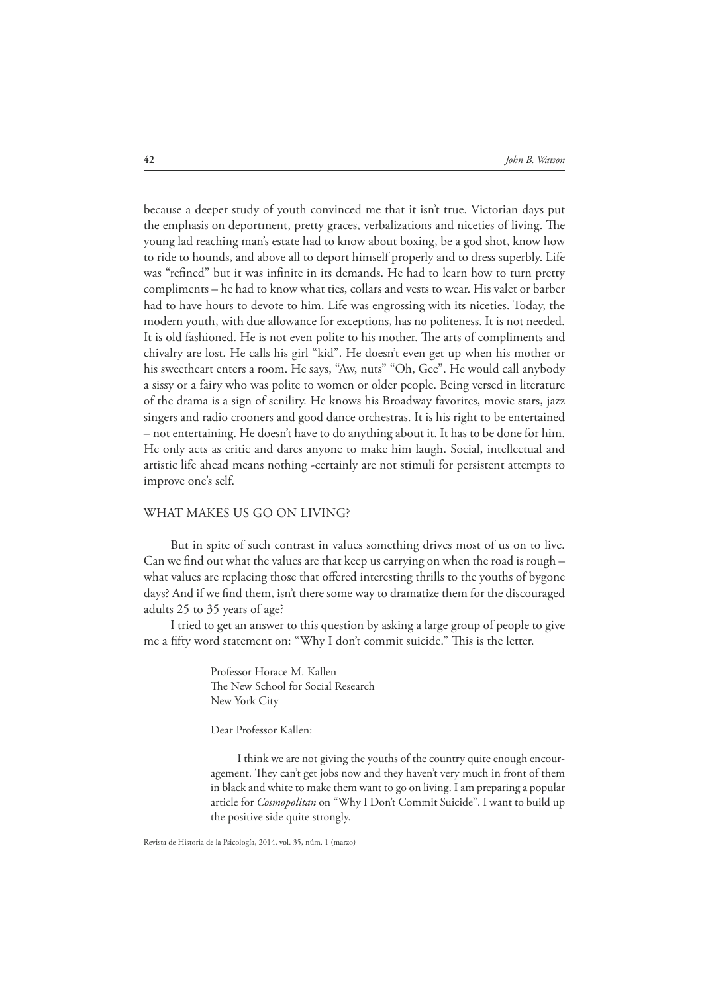because a deeper study of youth convinced me that it isn't true. Victorian days put the emphasis on deportment, pretty graces, verbalizations and niceties of living. The young lad reaching man's estate had to know about boxing, be a god shot, know how to ride to hounds, and above all to deport himself properly and to dress superbly. Life was "refined" but it was infinite in its demands. He had to learn how to turn pretty compliments – he had to know what ties, collars and vests to wear. His valet or barber had to have hours to devote to him. Life was engrossing with its niceties. Today, the modern youth, with due allowance for exceptions, has no politeness. It is not needed. It is old fashioned. He is not even polite to his mother. The arts of compliments and chivalry are lost. He calls his girl "kid". He doesn't even get up when his mother or his sweetheart enters a room. He says, "Aw, nuts" "Oh, Gee". He would call anybody a sissy or a fairy who was polite to women or older people. Being versed in literature of the drama is a sign of senility. He knows his Broadway favorites, movie stars, jazz singers and radio crooners and good dance orchestras. It is his right to be entertained – not entertaining. He doesn't have to do anything about it. It has to be done for him. He only acts as critic and dares anyone to make him laugh. Social, intellectual and artistic life ahead means nothing -certainly are not stimuli for persistent attempts to improve one's self.

### WHAT MAKES US GO ON LIVING?

But in spite of such contrast in values something drives most of us on to live. Can we find out what the values are that keep us carrying on when the road is rough  $$ what values are replacing those that offered interesting thrills to the youths of bygone days? And if we find them, isn't there some way to dramatize them for the discouraged adults 25 to 35 years of age?

I tried to get an answer to this question by asking a large group of people to give me a fifty word statement on: "Why I don't commit suicide." This is the letter.

> Professor Horace M. Kallen The New School for Social Research New York City

Dear Professor Kallen:

I think we are not giving the youths of the country quite enough encouragement. They can't get jobs now and they haven't very much in front of them in black and white to make them want to go on living. I am preparing a popular article for *Cosmopolitan* on "Why I Don't Commit Suicide". I want to build up the positive side quite strongly.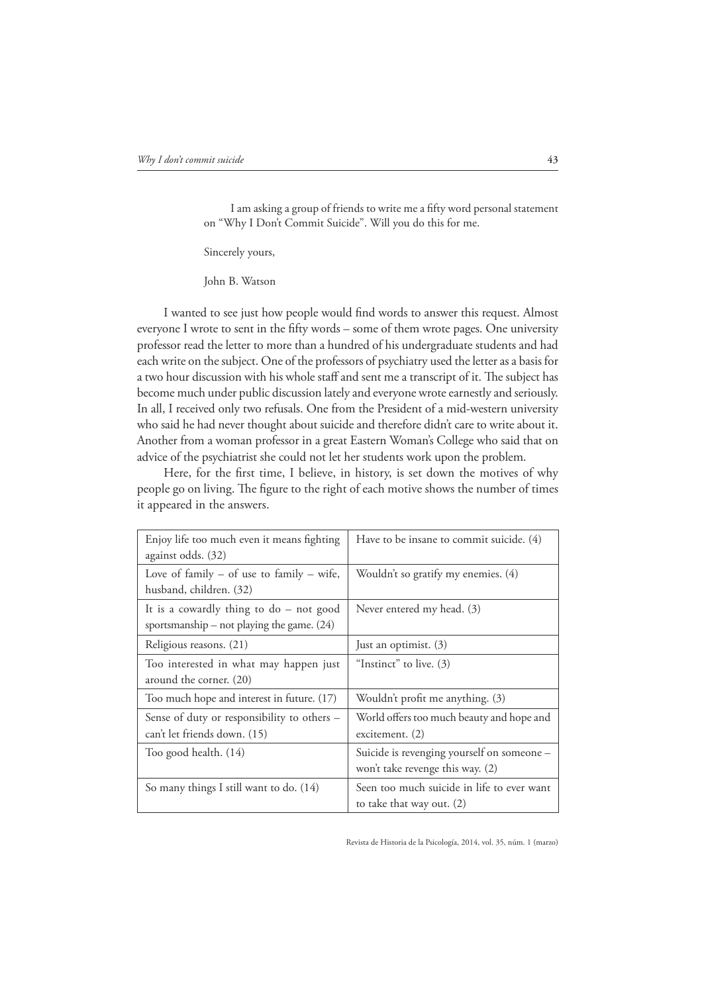I am asking a group of friends to write me a fifty word personal statement on "Why I Don't Commit Suicide". Will you do this for me.

Sincerely yours,

John B. Watson

I wanted to see just how people would find words to answer this request. Almost everyone I wrote to sent in the fifty words - some of them wrote pages. One university professor read the letter to more than a hundred of his undergraduate students and had each write on the subject. One of the professors of psychiatry used the letter as a basis for a two hour discussion with his whole staff and sent me a transcript of it. The subject has become much under public discussion lately and everyone wrote earnestly and seriously. In all, I received only two refusals. One from the President of a mid-western university who said he had never thought about suicide and therefore didn't care to write about it. Another from a woman professor in a great Eastern Woman's College who said that on advice of the psychiatrist she could not let her students work upon the problem.

Here, for the first time, I believe, in history, is set down the motives of why people go on living. The figure to the right of each motive shows the number of times it appeared in the answers.

| Enjoy life too much even it means fighting<br>against odds. (32)                          | Have to be insane to commit suicide. (4)                                       |
|-------------------------------------------------------------------------------------------|--------------------------------------------------------------------------------|
| Love of family $-$ of use to family $-$ wife,<br>husband, children. (32)                  | Wouldn't so gratify my enemies. (4)                                            |
| It is a cowardly thing to $do$ – not good<br>sportsmanship – not playing the game. $(24)$ | Never entered my head. (3)                                                     |
| Religious reasons. (21)                                                                   | Just an optimist. (3)                                                          |
| Too interested in what may happen just<br>around the corner. (20)                         | "Instinct" to live. $(3)$                                                      |
| Too much hope and interest in future. (17)                                                | Wouldn't profit me anything. (3)                                               |
| Sense of duty or responsibility to others -<br>can't let friends down. (15)               | World offers too much beauty and hope and<br>excitement. $(2)$                 |
| Too good health. (14)                                                                     | Suicide is revenging yourself on someone -<br>won't take revenge this way. (2) |
| So many things I still want to do. (14)                                                   | Seen too much suicide in life to ever want<br>to take that way out. $(2)$      |

Revista de Historia de la Psicología, 2014, vol. 35, núm. 1 (marzo)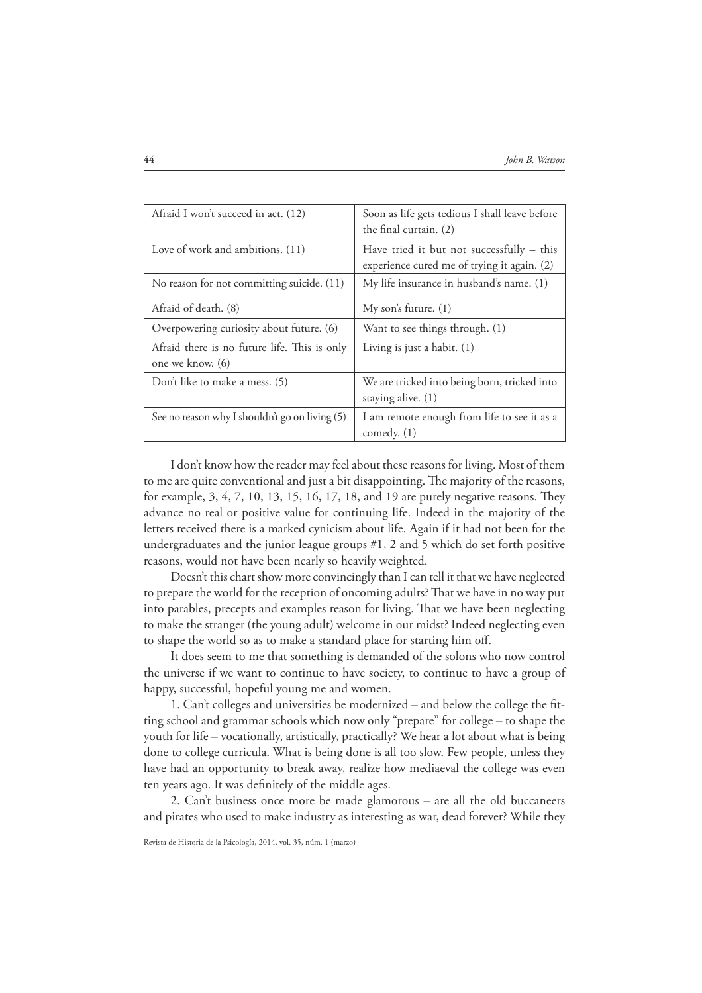| Afraid I won't succeed in act. (12)                              | Soon as life gets tedious I shall leave before<br>the final curtain. (2)                   |
|------------------------------------------------------------------|--------------------------------------------------------------------------------------------|
| Love of work and ambitions. (11)                                 | Have tried it but not successfully $-$ this<br>experience cured me of trying it again. (2) |
| No reason for not committing suicide. (11)                       | My life insurance in husband's name. (1)                                                   |
| Afraid of death. (8)                                             | My son's future. (1)                                                                       |
| Overpowering curiosity about future. (6)                         | Want to see things through. (1)                                                            |
| Afraid there is no future life. This is only<br>one we know. (6) | Living is just a habit. $(1)$                                                              |
| Don't like to make a mess. (5)                                   | We are tricked into being born, tricked into<br>staying alive. $(1)$                       |
| See no reason why I shouldn't go on living (5)                   | I am remote enough from life to see it as a                                                |
|                                                                  | comedy. $(1)$                                                                              |

I don't know how the reader may feel about these reasons for living. Most of them to me are quite conventional and just a bit disappointing. The majority of the reasons, for example,  $3, 4, 7, 10, 13, 15, 16, 17, 18$ , and 19 are purely negative reasons. They advance no real or positive value for continuing life. Indeed in the majority of the letters received there is a marked cynicism about life. Again if it had not been for the undergraduates and the junior league groups #1, 2 and 5 which do set forth positive reasons, would not have been nearly so heavily weighted.

Doesn't this chart show more convincingly than I can tell it that we have neglected to prepare the world for the reception of oncoming adults? That we have in no way put into parables, precepts and examples reason for living. That we have been neglecting to make the stranger (the young adult) welcome in our midst? Indeed neglecting even to shape the world so as to make a standard place for starting him off.

It does seem to me that something is demanded of the solons who now control the universe if we want to continue to have society, to continue to have a group of happy, successful, hopeful young me and women.

1. Can't colleges and universities be modernized – and below the college the fitting school and grammar schools which now only "prepare" for college – to shape the youth for life – vocationally, artistically, practically? We hear a lot about what is being done to college curricula. What is being done is all too slow. Few people, unless they have had an opportunity to break away, realize how mediaeval the college was even ten years ago. It was definitely of the middle ages.

2. Can't business once more be made glamorous – are all the old buccaneers and pirates who used to make industry as interesting as war, dead forever? While they

Revista de Historia de la Psicología, 2014, vol. 35, núm. 1 (marzo)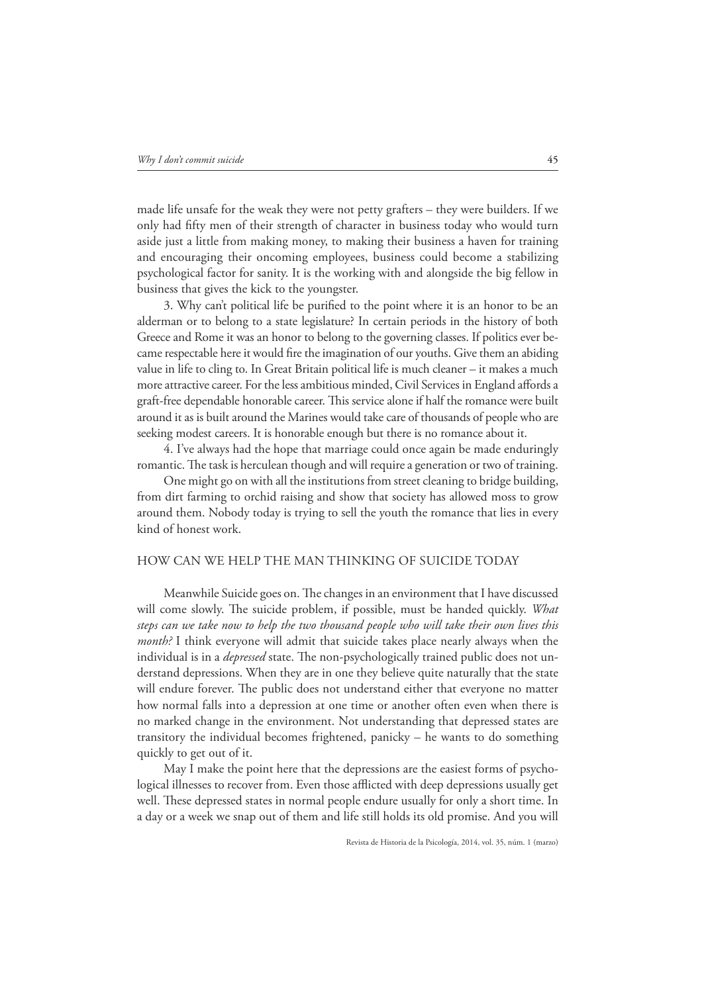made life unsafe for the weak they were not petty grafters – they were builders. If we only had fifty men of their strength of character in business today who would turn aside just a little from making money, to making their business a haven for training and encouraging their oncoming employees, business could become a stabilizing psychological factor for sanity. It is the working with and alongside the big fellow in business that gives the kick to the youngster.

3. Why can't political life be purified to the point where it is an honor to be an alderman or to belong to a state legislature? In certain periods in the history of both Greece and Rome it was an honor to belong to the governing classes. If politics ever became respectable here it would fire the imagination of our youths. Give them an abiding value in life to cling to. In Great Britain political life is much cleaner – it makes a much more attractive career. For the less ambitious minded, Civil Services in England affords a graft-free dependable honorable career. This service alone if half the romance were built around it as is built around the Marines would take care of thousands of people who are seeking modest careers. It is honorable enough but there is no romance about it.

4. I've always had the hope that marriage could once again be made enduringly romantic. The task is herculean though and will require a generation or two of training.

One might go on with all the institutions from street cleaning to bridge building, from dirt farming to orchid raising and show that society has allowed moss to grow around them. Nobody today is trying to sell the youth the romance that lies in every kind of honest work.

## HOW CAN WE HELP THE MAN THINKING OF SUICIDE TODAY

Meanwhile Suicide goes on. The changes in an environment that I have discussed will come slowly. The suicide problem, if possible, must be handed quickly. *What steps can we take now to help the two thousand people who will take their own lives this month?* I think everyone will admit that suicide takes place nearly always when the individual is in a *depressed* state. The non-psychologically trained public does not understand depressions. When they are in one they believe quite naturally that the state will endure forever. The public does not understand either that everyone no matter how normal falls into a depression at one time or another often even when there is no marked change in the environment. Not understanding that depressed states are transitory the individual becomes frightened, panicky – he wants to do something quickly to get out of it.

May I make the point here that the depressions are the easiest forms of psychological illnesses to recover from. Even those afflicted with deep depressions usually get well. These depressed states in normal people endure usually for only a short time. In a day or a week we snap out of them and life still holds its old promise. And you will